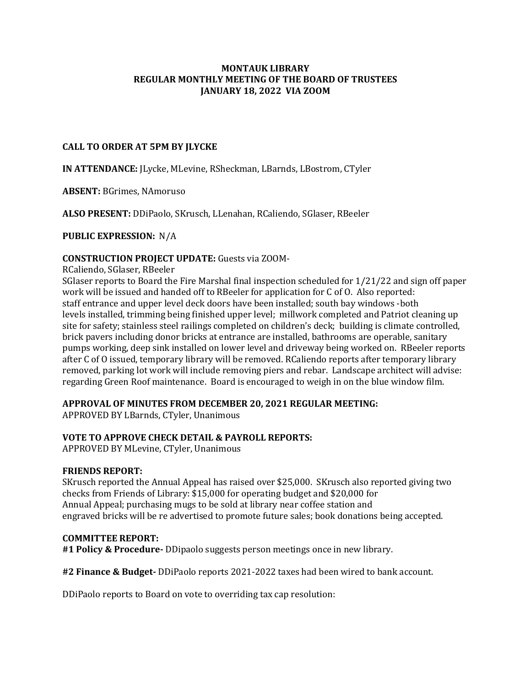### **MONTAUK LIBRARY REGULAR MONTHLY MEETING OF THE BOARD OF TRUSTEES JANUARY 18, 2022 VIA ZOOM**

## **CALL TO ORDER AT 5PM BY JLYCKE**

**IN ATTENDANCE:** JLycke, MLevine, RSheckman, LBarnds, LBostrom, CTyler

**ABSENT:** BGrimes, NAmoruso

**ALSO PRESENT:** DDiPaolo, SKrusch, LLenahan, RCaliendo, SGlaser, RBeeler

**PUBLIC EXPRESSION:** N/A

## **CONSTRUCTION PROJECT UPDATE:** Guests via ZOOM-

RCaliendo, SGlaser, RBeeler

SGlaser reports to Board the Fire Marshal final inspection scheduled for 1/21/22 and sign off paper work will be issued and handed off to RBeeler for application for C of O. Also reported: staff entrance and upper level deck doors have been installed; south bay windows -both levels installed, trimming being finished upper level; millwork completed and Patriot cleaning up site for safety; stainless steel railings completed on children's deck; building is climate controlled, brick pavers including donor bricks at entrance are installed, bathrooms are operable, sanitary pumps working, deep sink installed on lower level and driveway being worked on. RBeeler reports after C of O issued, temporary library will be removed. RCaliendo reports after temporary library removed, parking lot work will include removing piers and rebar. Landscape architect will advise: regarding Green Roof maintenance. Board is encouraged to weigh in on the blue window film.

### **APPROVAL OF MINUTES FROM DECEMBER 20, 2021 REGULAR MEETING:**

APPROVED BY LBarnds, CTyler, Unanimous

# **VOTE TO APPROVE CHECK DETAIL & PAYROLL REPORTS:**

APPROVED BY MLevine, CTyler, Unanimous

### **FRIENDS REPORT:**

SKrusch reported the Annual Appeal has raised over \$25,000. SKrusch also reported giving two checks from Friends of Library: \$15,000 for operating budget and \$20,000 for Annual Appeal; purchasing mugs to be sold at library near coffee station and engraved bricks will be re advertised to promote future sales; book donations being accepted.

### **COMMITTEE REPORT:**

**#1 Policy & Procedure-** DDipaolo suggests person meetings once in new library.

**#2 Finance & Budget-** DDiPaolo reports 2021-2022 taxes had been wired to bank account.

DDiPaolo reports to Board on vote to overriding tax cap resolution: